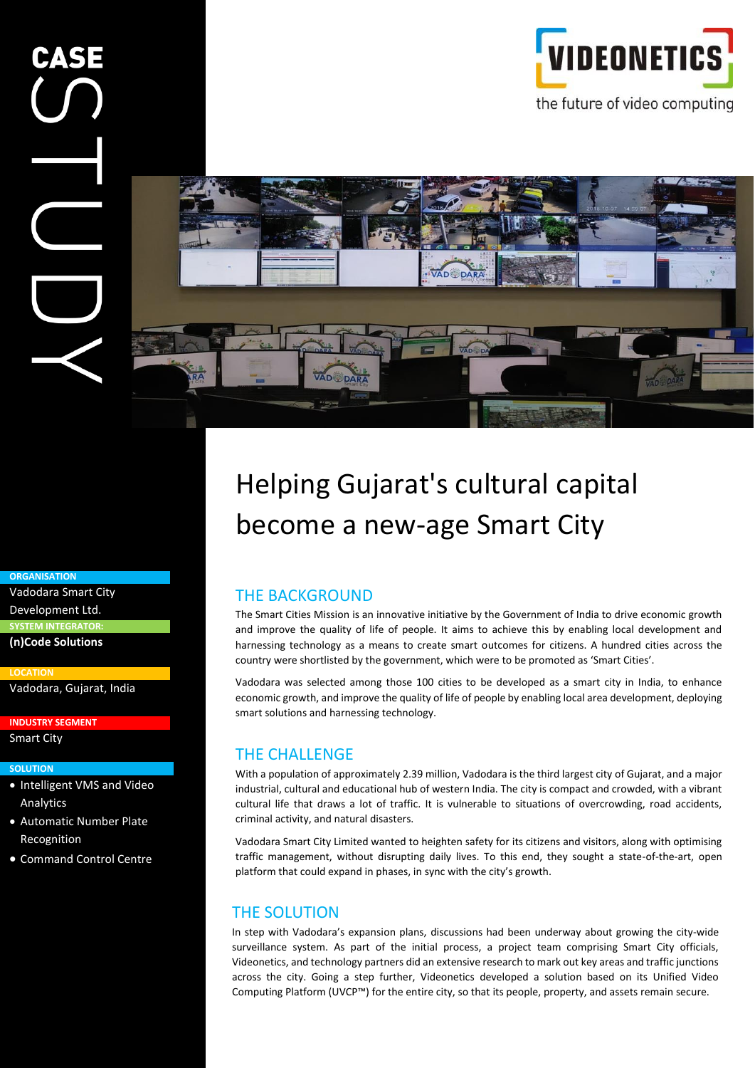

#### **ORGANISATION**

Vadodara Smart City Development Ltd. **SYSTEM INTEGRATOR: (n)Code Solutions**

**LOCATION**

Vadodara, Gujarat, India

**INDUSTRY SEGMENT**

# Smart City

#### **SOLUTION**

- Intelligent VMS and Video Analytics
- Automatic Number Plate Recognition
- Command Control Centre

# Helping Gujarat's cultural capital become a new-age Smart City

### THE BACKGROUND

The Smart Cities Mission is an innovative initiative by the Government of India to drive economic growth and improve the quality of life of people. It aims to achieve this by enabling local development and harnessing technology as a means to create smart outcomes for citizens. A hundred cities across the country were shortlisted by the government, which were to be promoted as 'Smart Cities'.

Vadodara was selected among those 100 cities to be developed as a smart city in India, to enhance economic growth, and improve the quality of life of people by enabling local area development, deploying smart solutions and harnessing technology.

### THE CHALLENGE

With a population of approximately 2.39 million, Vadodara is the third largest city of Gujarat, and a major industrial, cultural and educational hub of western India. The city is compact and crowded, with a vibrant cultural life that draws a lot of traffic. It is vulnerable to situations of overcrowding, road accidents, criminal activity, and natural disasters.

Vadodara Smart City Limited wanted to heighten safety for its citizens and visitors, along with optimising traffic management, without disrupting daily lives. To this end, they sought a state-of-the-art, open platform that could expand in phases, in sync with the city's growth.

#### THE SOLUTION

In step with Vadodara's expansion plans, discussions had been underway about growing the city-wide surveillance system. As part of the initial process, a project team comprising Smart City officials, Videonetics, and technology partners did an extensive research to mark out key areas and traffic junctions across the city. Going a step further, Videonetics developed a solution based on its Unified Video Computing Platform (UVCP™) for the entire city, so that its people, property, and assets remain secure.